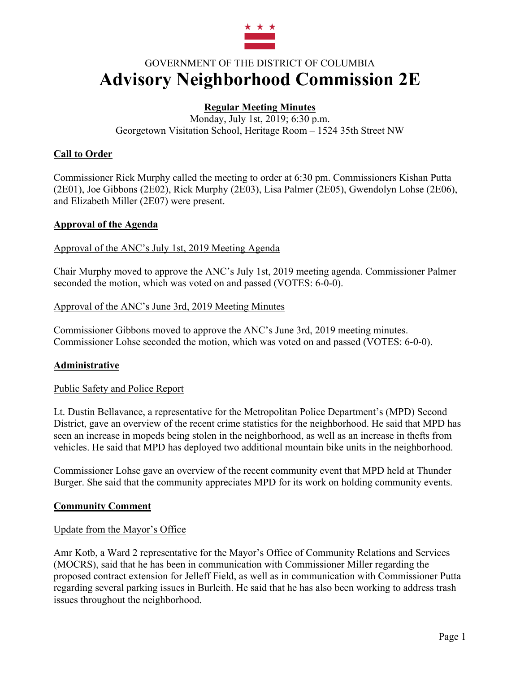

# GOVERNMENT OF THE DISTRICT OF COLUMBIA **Advisory Neighborhood Commission 2E**

# **Regular Meeting Minutes**

Monday, July 1st, 2019; 6:30 p.m. Georgetown Visitation School, Heritage Room – 1524 35th Street NW

## **Call to Order**

Commissioner Rick Murphy called the meeting to order at 6:30 pm. Commissioners Kishan Putta (2E01), Joe Gibbons (2E02), Rick Murphy (2E03), Lisa Palmer (2E05), Gwendolyn Lohse (2E06), and Elizabeth Miller (2E07) were present.

#### **Approval of the Agenda**

#### Approval of the ANC's July 1st, 2019 Meeting Agenda

Chair Murphy moved to approve the ANC's July 1st, 2019 meeting agenda. Commissioner Palmer seconded the motion, which was voted on and passed (VOTES: 6-0-0).

#### Approval of the ANC's June 3rd, 2019 Meeting Minutes

Commissioner Gibbons moved to approve the ANC's June 3rd, 2019 meeting minutes. Commissioner Lohse seconded the motion, which was voted on and passed (VOTES: 6-0-0).

## **Administrative**

#### Public Safety and Police Report

Lt. Dustin Bellavance, a representative for the Metropolitan Police Department's (MPD) Second District, gave an overview of the recent crime statistics for the neighborhood. He said that MPD has seen an increase in mopeds being stolen in the neighborhood, as well as an increase in thefts from vehicles. He said that MPD has deployed two additional mountain bike units in the neighborhood.

Commissioner Lohse gave an overview of the recent community event that MPD held at Thunder Burger. She said that the community appreciates MPD for its work on holding community events.

#### **Community Comment**

#### Update from the Mayor's Office

Amr Kotb, a Ward 2 representative for the Mayor's Office of Community Relations and Services (MOCRS), said that he has been in communication with Commissioner Miller regarding the proposed contract extension for Jelleff Field, as well as in communication with Commissioner Putta regarding several parking issues in Burleith. He said that he has also been working to address trash issues throughout the neighborhood.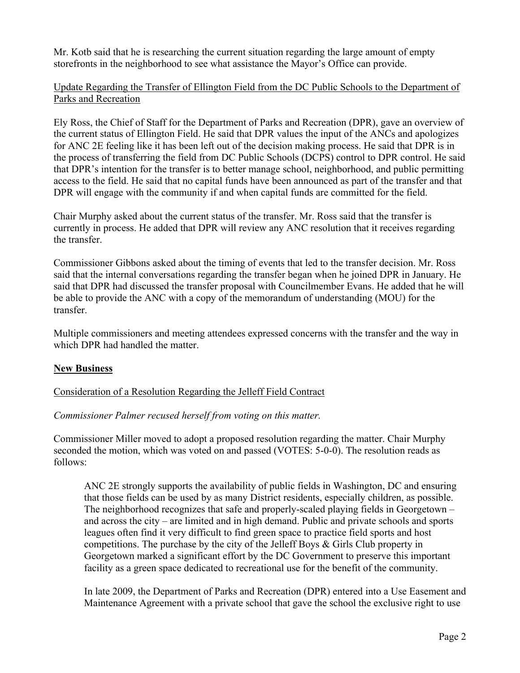Mr. Kotb said that he is researching the current situation regarding the large amount of empty storefronts in the neighborhood to see what assistance the Mayor's Office can provide.

## Update Regarding the Transfer of Ellington Field from the DC Public Schools to the Department of Parks and Recreation

Ely Ross, the Chief of Staff for the Department of Parks and Recreation (DPR), gave an overview of the current status of Ellington Field. He said that DPR values the input of the ANCs and apologizes for ANC 2E feeling like it has been left out of the decision making process. He said that DPR is in the process of transferring the field from DC Public Schools (DCPS) control to DPR control. He said that DPR's intention for the transfer is to better manage school, neighborhood, and public permitting access to the field. He said that no capital funds have been announced as part of the transfer and that DPR will engage with the community if and when capital funds are committed for the field.

Chair Murphy asked about the current status of the transfer. Mr. Ross said that the transfer is currently in process. He added that DPR will review any ANC resolution that it receives regarding the transfer.

Commissioner Gibbons asked about the timing of events that led to the transfer decision. Mr. Ross said that the internal conversations regarding the transfer began when he joined DPR in January. He said that DPR had discussed the transfer proposal with Councilmember Evans. He added that he will be able to provide the ANC with a copy of the memorandum of understanding (MOU) for the transfer.

Multiple commissioners and meeting attendees expressed concerns with the transfer and the way in which DPR had handled the matter.

## **New Business**

## Consideration of a Resolution Regarding the Jelleff Field Contract

## *Commissioner Palmer recused herself from voting on this matter.*

Commissioner Miller moved to adopt a proposed resolution regarding the matter. Chair Murphy seconded the motion, which was voted on and passed (VOTES: 5-0-0). The resolution reads as follows:

ANC 2E strongly supports the availability of public fields in Washington, DC and ensuring that those fields can be used by as many District residents, especially children, as possible. The neighborhood recognizes that safe and properly-scaled playing fields in Georgetown – and across the city – are limited and in high demand. Public and private schools and sports leagues often find it very difficult to find green space to practice field sports and host competitions. The purchase by the city of the Jelleff Boys & Girls Club property in Georgetown marked a significant effort by the DC Government to preserve this important facility as a green space dedicated to recreational use for the benefit of the community.

In late 2009, the Department of Parks and Recreation (DPR) entered into a Use Easement and Maintenance Agreement with a private school that gave the school the exclusive right to use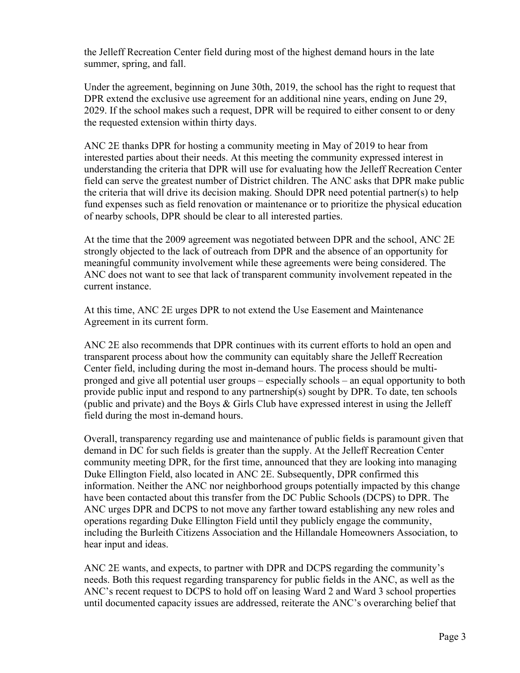the Jelleff Recreation Center field during most of the highest demand hours in the late summer, spring, and fall.

Under the agreement, beginning on June 30th, 2019, the school has the right to request that DPR extend the exclusive use agreement for an additional nine years, ending on June 29, 2029. If the school makes such a request, DPR will be required to either consent to or deny the requested extension within thirty days.

ANC 2E thanks DPR for hosting a community meeting in May of 2019 to hear from interested parties about their needs. At this meeting the community expressed interest in understanding the criteria that DPR will use for evaluating how the Jelleff Recreation Center field can serve the greatest number of District children. The ANC asks that DPR make public the criteria that will drive its decision making. Should DPR need potential partner(s) to help fund expenses such as field renovation or maintenance or to prioritize the physical education of nearby schools, DPR should be clear to all interested parties.

At the time that the 2009 agreement was negotiated between DPR and the school, ANC 2E strongly objected to the lack of outreach from DPR and the absence of an opportunity for meaningful community involvement while these agreements were being considered. The ANC does not want to see that lack of transparent community involvement repeated in the current instance.

At this time, ANC 2E urges DPR to not extend the Use Easement and Maintenance Agreement in its current form.

ANC 2E also recommends that DPR continues with its current efforts to hold an open and transparent process about how the community can equitably share the Jelleff Recreation Center field, including during the most in-demand hours. The process should be multipronged and give all potential user groups – especially schools – an equal opportunity to both provide public input and respond to any partnership(s) sought by DPR. To date, ten schools (public and private) and the Boys & Girls Club have expressed interest in using the Jelleff field during the most in-demand hours.

Overall, transparency regarding use and maintenance of public fields is paramount given that demand in DC for such fields is greater than the supply. At the Jelleff Recreation Center community meeting DPR, for the first time, announced that they are looking into managing Duke Ellington Field, also located in ANC 2E. Subsequently, DPR confirmed this information. Neither the ANC nor neighborhood groups potentially impacted by this change have been contacted about this transfer from the DC Public Schools (DCPS) to DPR. The ANC urges DPR and DCPS to not move any farther toward establishing any new roles and operations regarding Duke Ellington Field until they publicly engage the community, including the Burleith Citizens Association and the Hillandale Homeowners Association, to hear input and ideas.

ANC 2E wants, and expects, to partner with DPR and DCPS regarding the community's needs. Both this request regarding transparency for public fields in the ANC, as well as the ANC's recent request to DCPS to hold off on leasing Ward 2 and Ward 3 school properties until documented capacity issues are addressed, reiterate the ANC's overarching belief that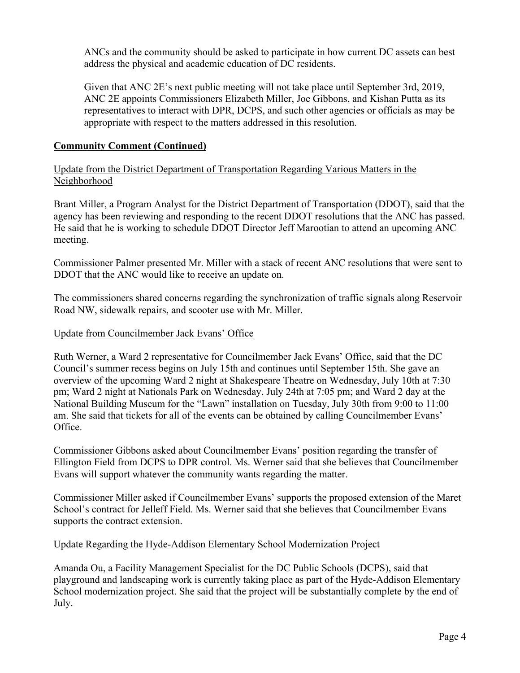ANCs and the community should be asked to participate in how current DC assets can best address the physical and academic education of DC residents.

Given that ANC 2E's next public meeting will not take place until September 3rd, 2019, ANC 2E appoints Commissioners Elizabeth Miller, Joe Gibbons, and Kishan Putta as its representatives to interact with DPR, DCPS, and such other agencies or officials as may be appropriate with respect to the matters addressed in this resolution.

## **Community Comment (Continued)**

Update from the District Department of Transportation Regarding Various Matters in the Neighborhood

Brant Miller, a Program Analyst for the District Department of Transportation (DDOT), said that the agency has been reviewing and responding to the recent DDOT resolutions that the ANC has passed. He said that he is working to schedule DDOT Director Jeff Marootian to attend an upcoming ANC meeting.

Commissioner Palmer presented Mr. Miller with a stack of recent ANC resolutions that were sent to DDOT that the ANC would like to receive an update on.

The commissioners shared concerns regarding the synchronization of traffic signals along Reservoir Road NW, sidewalk repairs, and scooter use with Mr. Miller.

#### Update from Councilmember Jack Evans' Office

Ruth Werner, a Ward 2 representative for Councilmember Jack Evans' Office, said that the DC Council's summer recess begins on July 15th and continues until September 15th. She gave an overview of the upcoming Ward 2 night at Shakespeare Theatre on Wednesday, July 10th at 7:30 pm; Ward 2 night at Nationals Park on Wednesday, July 24th at 7:05 pm; and Ward 2 day at the National Building Museum for the "Lawn" installation on Tuesday, July 30th from 9:00 to 11:00 am. She said that tickets for all of the events can be obtained by calling Councilmember Evans' Office.

Commissioner Gibbons asked about Councilmember Evans' position regarding the transfer of Ellington Field from DCPS to DPR control. Ms. Werner said that she believes that Councilmember Evans will support whatever the community wants regarding the matter.

Commissioner Miller asked if Councilmember Evans' supports the proposed extension of the Maret School's contract for Jelleff Field. Ms. Werner said that she believes that Councilmember Evans supports the contract extension.

#### Update Regarding the Hyde-Addison Elementary School Modernization Project

Amanda Ou, a Facility Management Specialist for the DC Public Schools (DCPS), said that playground and landscaping work is currently taking place as part of the Hyde-Addison Elementary School modernization project. She said that the project will be substantially complete by the end of July.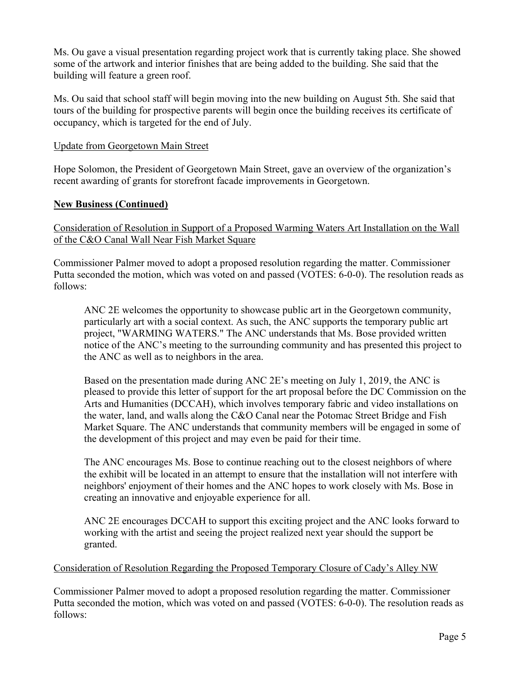Ms. Ou gave a visual presentation regarding project work that is currently taking place. She showed some of the artwork and interior finishes that are being added to the building. She said that the building will feature a green roof.

Ms. Ou said that school staff will begin moving into the new building on August 5th. She said that tours of the building for prospective parents will begin once the building receives its certificate of occupancy, which is targeted for the end of July.

#### Update from Georgetown Main Street

Hope Solomon, the President of Georgetown Main Street, gave an overview of the organization's recent awarding of grants for storefront facade improvements in Georgetown.

#### **New Business (Continued)**

Consideration of Resolution in Support of a Proposed Warming Waters Art Installation on the Wall of the C&O Canal Wall Near Fish Market Square

Commissioner Palmer moved to adopt a proposed resolution regarding the matter. Commissioner Putta seconded the motion, which was voted on and passed (VOTES: 6-0-0). The resolution reads as follows:

ANC 2E welcomes the opportunity to showcase public art in the Georgetown community, particularly art with a social context. As such, the ANC supports the temporary public art project, "WARMING WATERS." The ANC understands that Ms. Bose provided written notice of the ANC's meeting to the surrounding community and has presented this project to the ANC as well as to neighbors in the area.

Based on the presentation made during ANC 2E's meeting on July 1, 2019, the ANC is pleased to provide this letter of support for the art proposal before the DC Commission on the Arts and Humanities (DCCAH), which involves temporary fabric and video installations on the water, land, and walls along the C&O Canal near the Potomac Street Bridge and Fish Market Square. The ANC understands that community members will be engaged in some of the development of this project and may even be paid for their time.

The ANC encourages Ms. Bose to continue reaching out to the closest neighbors of where the exhibit will be located in an attempt to ensure that the installation will not interfere with neighbors' enjoyment of their homes and the ANC hopes to work closely with Ms. Bose in creating an innovative and enjoyable experience for all.

ANC 2E encourages DCCAH to support this exciting project and the ANC looks forward to working with the artist and seeing the project realized next year should the support be granted.

#### Consideration of Resolution Regarding the Proposed Temporary Closure of Cady's Alley NW

Commissioner Palmer moved to adopt a proposed resolution regarding the matter. Commissioner Putta seconded the motion, which was voted on and passed (VOTES: 6-0-0). The resolution reads as follows: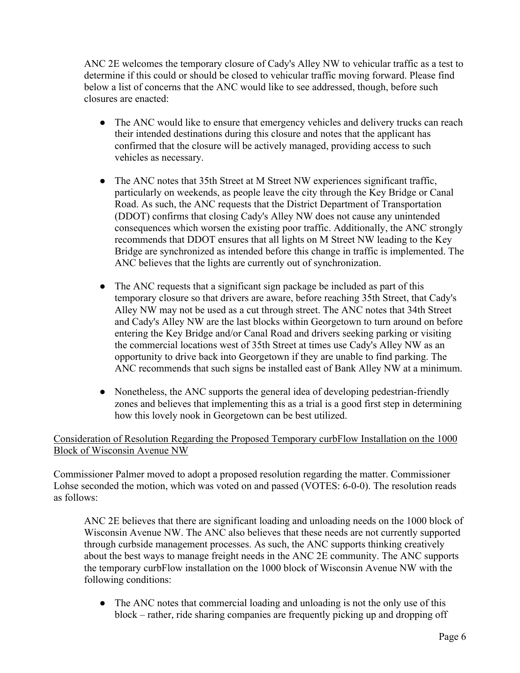ANC 2E welcomes the temporary closure of Cady's Alley NW to vehicular traffic as a test to determine if this could or should be closed to vehicular traffic moving forward. Please find below a list of concerns that the ANC would like to see addressed, though, before such closures are enacted:

- The ANC would like to ensure that emergency vehicles and delivery trucks can reach their intended destinations during this closure and notes that the applicant has confirmed that the closure will be actively managed, providing access to such vehicles as necessary.
- The ANC notes that 35th Street at M Street NW experiences significant traffic, particularly on weekends, as people leave the city through the Key Bridge or Canal Road. As such, the ANC requests that the District Department of Transportation (DDOT) confirms that closing Cady's Alley NW does not cause any unintended consequences which worsen the existing poor traffic. Additionally, the ANC strongly recommends that DDOT ensures that all lights on M Street NW leading to the Key Bridge are synchronized as intended before this change in traffic is implemented. The ANC believes that the lights are currently out of synchronization.
- The ANC requests that a significant sign package be included as part of this temporary closure so that drivers are aware, before reaching 35th Street, that Cady's Alley NW may not be used as a cut through street. The ANC notes that 34th Street and Cady's Alley NW are the last blocks within Georgetown to turn around on before entering the Key Bridge and/or Canal Road and drivers seeking parking or visiting the commercial locations west of 35th Street at times use Cady's Alley NW as an opportunity to drive back into Georgetown if they are unable to find parking. The ANC recommends that such signs be installed east of Bank Alley NW at a minimum.
- Nonetheless, the ANC supports the general idea of developing pedestrian-friendly zones and believes that implementing this as a trial is a good first step in determining how this lovely nook in Georgetown can be best utilized.

## Consideration of Resolution Regarding the Proposed Temporary curbFlow Installation on the 1000 Block of Wisconsin Avenue NW

Commissioner Palmer moved to adopt a proposed resolution regarding the matter. Commissioner Lohse seconded the motion, which was voted on and passed (VOTES: 6-0-0). The resolution reads as follows:

ANC 2E believes that there are significant loading and unloading needs on the 1000 block of Wisconsin Avenue NW. The ANC also believes that these needs are not currently supported through curbside management processes. As such, the ANC supports thinking creatively about the best ways to manage freight needs in the ANC 2E community. The ANC supports the temporary curbFlow installation on the 1000 block of Wisconsin Avenue NW with the following conditions:

• The ANC notes that commercial loading and unloading is not the only use of this block – rather, ride sharing companies are frequently picking up and dropping off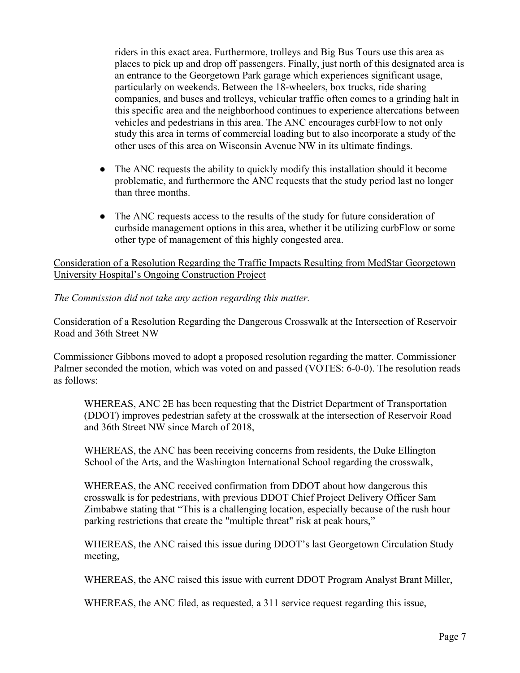riders in this exact area. Furthermore, trolleys and Big Bus Tours use this area as places to pick up and drop off passengers. Finally, just north of this designated area is an entrance to the Georgetown Park garage which experiences significant usage, particularly on weekends. Between the 18-wheelers, box trucks, ride sharing companies, and buses and trolleys, vehicular traffic often comes to a grinding halt in this specific area and the neighborhood continues to experience altercations between vehicles and pedestrians in this area. The ANC encourages curbFlow to not only study this area in terms of commercial loading but to also incorporate a study of the other uses of this area on Wisconsin Avenue NW in its ultimate findings.

- The ANC requests the ability to quickly modify this installation should it become problematic, and furthermore the ANC requests that the study period last no longer than three months.
- The ANC requests access to the results of the study for future consideration of curbside management options in this area, whether it be utilizing curbFlow or some other type of management of this highly congested area.

## Consideration of a Resolution Regarding the Traffic Impacts Resulting from MedStar Georgetown University Hospital's Ongoing Construction Project

#### *The Commission did not take any action regarding this matter.*

## Consideration of a Resolution Regarding the Dangerous Crosswalk at the Intersection of Reservoir Road and 36th Street NW

Commissioner Gibbons moved to adopt a proposed resolution regarding the matter. Commissioner Palmer seconded the motion, which was voted on and passed (VOTES: 6-0-0). The resolution reads as follows:

WHEREAS, ANC 2E has been requesting that the District Department of Transportation (DDOT) improves pedestrian safety at the crosswalk at the intersection of Reservoir Road and 36th Street NW since March of 2018,

WHEREAS, the ANC has been receiving concerns from residents, the Duke Ellington School of the Arts, and the Washington International School regarding the crosswalk,

WHEREAS, the ANC received confirmation from DDOT about how dangerous this crosswalk is for pedestrians, with previous DDOT Chief Project Delivery Officer Sam Zimbabwe stating that "This is a challenging location, especially because of the rush hour parking restrictions that create the "multiple threat" risk at peak hours,"

WHEREAS, the ANC raised this issue during DDOT's last Georgetown Circulation Study meeting,

WHEREAS, the ANC raised this issue with current DDOT Program Analyst Brant Miller,

WHEREAS, the ANC filed, as requested, a 311 service request regarding this issue,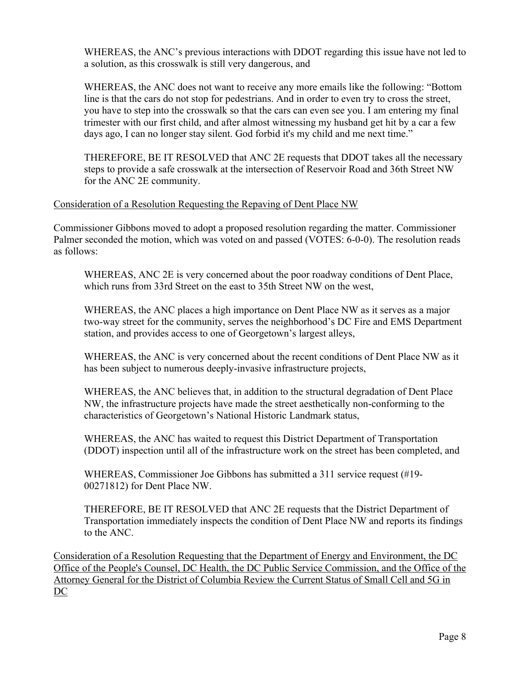WHEREAS, the ANC's previous interactions with DDOT regarding this issue have not led to a solution, as this crosswalk is still very dangerous, and

WHEREAS, the ANC does not want to receive any more emails like the following: "Bottom line is that the cars do not stop for pedestrians. And in order to even try to cross the street, you have to step into the crosswalk so that the cars can even see you. I am entering my final trimester with our first child, and after almost witnessing my husband get hit by a car a few days ago, I can no longer stay silent. God forbid it's my child and me next time."

THEREFORE, BE IT RESOLVED that ANC 2E requests that DDOT takes all the necessary steps to provide a safe crosswalk at the intersection of Reservoir Road and 36th Street NW for the ANC 2E community.

#### Consideration of a Resolution Requesting the Repaving of Dent Place NW

Commissioner Gibbons moved to adopt a proposed resolution regarding the matter. Commissioner Palmer seconded the motion, which was voted on and passed (VOTES: 6-0-0). The resolution reads as follows:

WHEREAS, ANC 2E is very concerned about the poor roadway conditions of Dent Place, which runs from 33rd Street on the east to 35th Street NW on the west,

WHEREAS, the ANC places a high importance on Dent Place NW as it serves as a major two-way street for the community, serves the neighborhood's DC Fire and EMS Department station, and provides access to one of Georgetown's largest alleys,

WHEREAS, the ANC is very concerned about the recent conditions of Dent Place NW as it has been subject to numerous deeply-invasive infrastructure projects,

WHEREAS, the ANC believes that, in addition to the structural degradation of Dent Place NW, the infrastructure projects have made the street aesthetically non-conforming to the characteristics of Georgetown's National Historic Landmark status,

WHEREAS, the ANC has waited to request this District Department of Transportation (DDOT) inspection until all of the infrastructure work on the street has been completed, and

WHEREAS, Commissioner Joe Gibbons has submitted a 311 service request (#19- 00271812) for Dent Place NW.

THEREFORE, BE IT RESOLVED that ANC 2E requests that the District Department of Transportation immediately inspects the condition of Dent Place NW and reports its findings to the ANC.

Consideration of a Resolution Requesting that the Department of Energy and Environment, the DC Office of the People's Counsel, DC Health, the DC Public Service Commission, and the Office of the Attorney General for the District of Columbia Review the Current Status of Small Cell and 5G in DC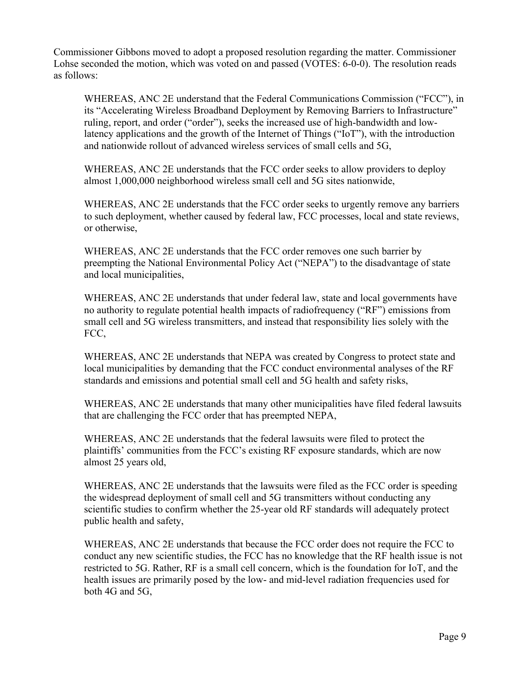Commissioner Gibbons moved to adopt a proposed resolution regarding the matter. Commissioner Lohse seconded the motion, which was voted on and passed (VOTES: 6-0-0). The resolution reads as follows:

WHEREAS, ANC 2E understand that the Federal Communications Commission ("FCC"), in its "Accelerating Wireless Broadband Deployment by Removing Barriers to Infrastructure" ruling, report, and order ("order"), seeks the increased use of high-bandwidth and lowlatency applications and the growth of the Internet of Things ("IoT"), with the introduction and nationwide rollout of advanced wireless services of small cells and 5G,

WHEREAS, ANC 2E understands that the FCC order seeks to allow providers to deploy almost 1,000,000 neighborhood wireless small cell and 5G sites nationwide,

WHEREAS, ANC 2E understands that the FCC order seeks to urgently remove any barriers to such deployment, whether caused by federal law, FCC processes, local and state reviews, or otherwise,

WHEREAS, ANC 2E understands that the FCC order removes one such barrier by preempting the National Environmental Policy Act ("NEPA") to the disadvantage of state and local municipalities,

WHEREAS, ANC 2E understands that under federal law, state and local governments have no authority to regulate potential health impacts of radiofrequency ("RF") emissions from small cell and 5G wireless transmitters, and instead that responsibility lies solely with the FCC,

WHEREAS, ANC 2E understands that NEPA was created by Congress to protect state and local municipalities by demanding that the FCC conduct environmental analyses of the RF standards and emissions and potential small cell and 5G health and safety risks,

WHEREAS, ANC 2E understands that many other municipalities have filed federal lawsuits that are challenging the FCC order that has preempted NEPA,

WHEREAS, ANC 2E understands that the federal lawsuits were filed to protect the plaintiffs' communities from the FCC's existing RF exposure standards, which are now almost 25 years old,

WHEREAS, ANC 2E understands that the lawsuits were filed as the FCC order is speeding the widespread deployment of small cell and 5G transmitters without conducting any scientific studies to confirm whether the 25-year old RF standards will adequately protect public health and safety,

WHEREAS, ANC 2E understands that because the FCC order does not require the FCC to conduct any new scientific studies, the FCC has no knowledge that the RF health issue is not restricted to 5G. Rather, RF is a small cell concern, which is the foundation for IoT, and the health issues are primarily posed by the low- and mid-level radiation frequencies used for both 4G and 5G,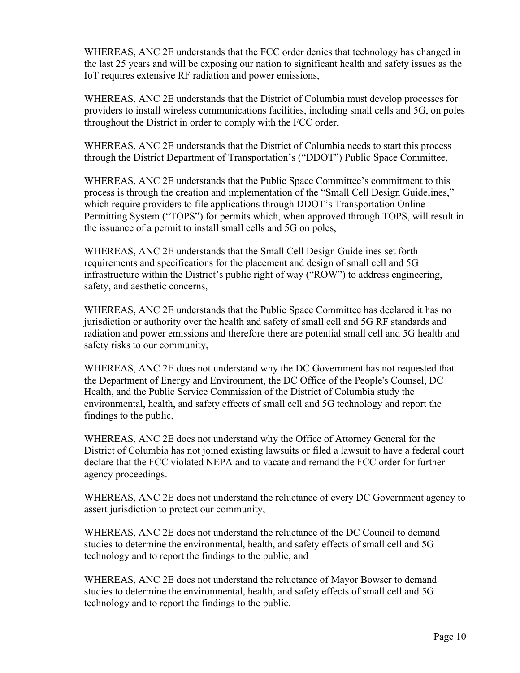WHEREAS, ANC 2E understands that the FCC order denies that technology has changed in the last 25 years and will be exposing our nation to significant health and safety issues as the IoT requires extensive RF radiation and power emissions,

WHEREAS, ANC 2E understands that the District of Columbia must develop processes for providers to install wireless communications facilities, including small cells and 5G, on poles throughout the District in order to comply with the FCC order,

WHEREAS, ANC 2E understands that the District of Columbia needs to start this process through the District Department of Transportation's ("DDOT") Public Space Committee,

WHEREAS, ANC 2E understands that the Public Space Committee's commitment to this process is through the creation and implementation of the "Small Cell Design Guidelines," which require providers to file applications through DDOT's Transportation Online Permitting System ("TOPS") for permits which, when approved through TOPS, will result in the issuance of a permit to install small cells and 5G on poles,

WHEREAS, ANC 2E understands that the Small Cell Design Guidelines set forth requirements and specifications for the placement and design of small cell and 5G infrastructure within the District's public right of way ("ROW") to address engineering, safety, and aesthetic concerns,

WHEREAS, ANC 2E understands that the Public Space Committee has declared it has no jurisdiction or authority over the health and safety of small cell and 5G RF standards and radiation and power emissions and therefore there are potential small cell and 5G health and safety risks to our community,

WHEREAS, ANC 2E does not understand why the DC Government has not requested that the Department of Energy and Environment, the DC Office of the People's Counsel, DC Health, and the Public Service Commission of the District of Columbia study the environmental, health, and safety effects of small cell and 5G technology and report the findings to the public,

WHEREAS, ANC 2E does not understand why the Office of Attorney General for the District of Columbia has not joined existing lawsuits or filed a lawsuit to have a federal court declare that the FCC violated NEPA and to vacate and remand the FCC order for further agency proceedings.

WHEREAS, ANC 2E does not understand the reluctance of every DC Government agency to assert jurisdiction to protect our community,

WHEREAS, ANC 2E does not understand the reluctance of the DC Council to demand studies to determine the environmental, health, and safety effects of small cell and 5G technology and to report the findings to the public, and

WHEREAS, ANC 2E does not understand the reluctance of Mayor Bowser to demand studies to determine the environmental, health, and safety effects of small cell and 5G technology and to report the findings to the public.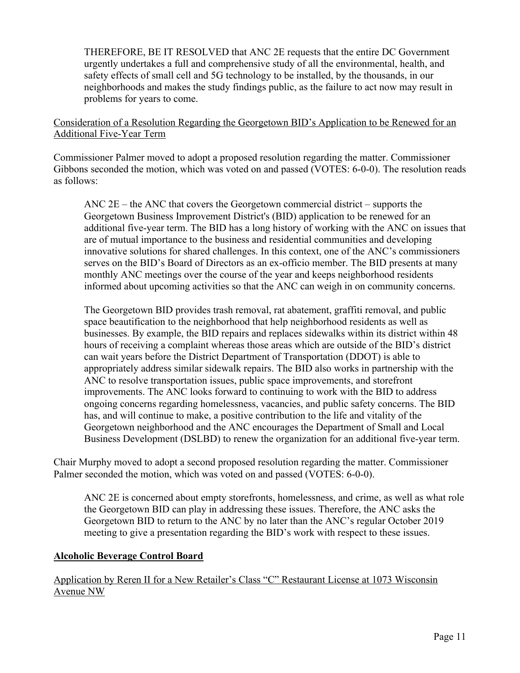THEREFORE, BE IT RESOLVED that ANC 2E requests that the entire DC Government urgently undertakes a full and comprehensive study of all the environmental, health, and safety effects of small cell and 5G technology to be installed, by the thousands, in our neighborhoods and makes the study findings public, as the failure to act now may result in problems for years to come.

#### Consideration of a Resolution Regarding the Georgetown BID's Application to be Renewed for an Additional Five-Year Term

Commissioner Palmer moved to adopt a proposed resolution regarding the matter. Commissioner Gibbons seconded the motion, which was voted on and passed (VOTES: 6-0-0). The resolution reads as follows:

ANC  $2E$  – the ANC that covers the Georgetown commercial district – supports the Georgetown Business Improvement District's (BID) application to be renewed for an additional five-year term. The BID has a long history of working with the ANC on issues that are of mutual importance to the business and residential communities and developing innovative solutions for shared challenges. In this context, one of the ANC's commissioners serves on the BID's Board of Directors as an ex-officio member. The BID presents at many monthly ANC meetings over the course of the year and keeps neighborhood residents informed about upcoming activities so that the ANC can weigh in on community concerns.

The Georgetown BID provides trash removal, rat abatement, graffiti removal, and public space beautification to the neighborhood that help neighborhood residents as well as businesses. By example, the BID repairs and replaces sidewalks within its district within 48 hours of receiving a complaint whereas those areas which are outside of the BID's district can wait years before the District Department of Transportation (DDOT) is able to appropriately address similar sidewalk repairs. The BID also works in partnership with the ANC to resolve transportation issues, public space improvements, and storefront improvements. The ANC looks forward to continuing to work with the BID to address ongoing concerns regarding homelessness, vacancies, and public safety concerns. The BID has, and will continue to make, a positive contribution to the life and vitality of the Georgetown neighborhood and the ANC encourages the Department of Small and Local Business Development (DSLBD) to renew the organization for an additional five-year term.

Chair Murphy moved to adopt a second proposed resolution regarding the matter. Commissioner Palmer seconded the motion, which was voted on and passed (VOTES: 6-0-0).

ANC 2E is concerned about empty storefronts, homelessness, and crime, as well as what role the Georgetown BID can play in addressing these issues. Therefore, the ANC asks the Georgetown BID to return to the ANC by no later than the ANC's regular October 2019 meeting to give a presentation regarding the BID's work with respect to these issues.

## **Alcoholic Beverage Control Board**

Application by Reren II for a New Retailer's Class "C" Restaurant License at 1073 Wisconsin Avenue NW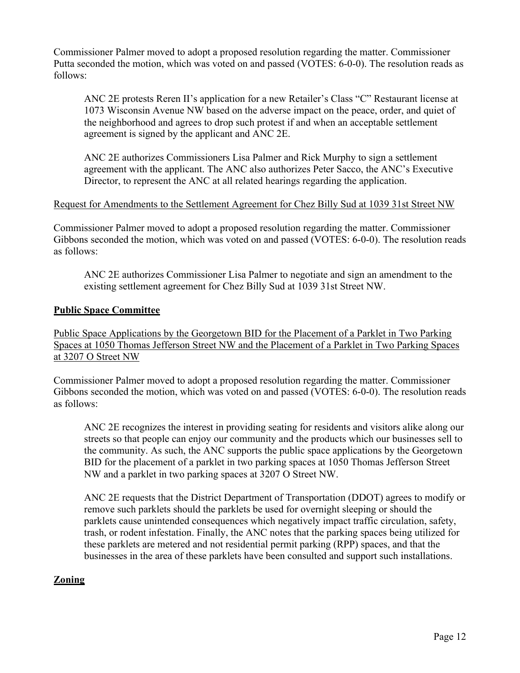Commissioner Palmer moved to adopt a proposed resolution regarding the matter. Commissioner Putta seconded the motion, which was voted on and passed (VOTES: 6-0-0). The resolution reads as follows:

ANC 2E protests Reren II's application for a new Retailer's Class "C" Restaurant license at 1073 Wisconsin Avenue NW based on the adverse impact on the peace, order, and quiet of the neighborhood and agrees to drop such protest if and when an acceptable settlement agreement is signed by the applicant and ANC 2E.

ANC 2E authorizes Commissioners Lisa Palmer and Rick Murphy to sign a settlement agreement with the applicant. The ANC also authorizes Peter Sacco, the ANC's Executive Director, to represent the ANC at all related hearings regarding the application.

#### Request for Amendments to the Settlement Agreement for Chez Billy Sud at 1039 31st Street NW

Commissioner Palmer moved to adopt a proposed resolution regarding the matter. Commissioner Gibbons seconded the motion, which was voted on and passed (VOTES: 6-0-0). The resolution reads as follows:

ANC 2E authorizes Commissioner Lisa Palmer to negotiate and sign an amendment to the existing settlement agreement for Chez Billy Sud at 1039 31st Street NW.

#### **Public Space Committee**

Public Space Applications by the Georgetown BID for the Placement of a Parklet in Two Parking Spaces at 1050 Thomas Jefferson Street NW and the Placement of a Parklet in Two Parking Spaces at 3207 O Street NW

Commissioner Palmer moved to adopt a proposed resolution regarding the matter. Commissioner Gibbons seconded the motion, which was voted on and passed (VOTES: 6-0-0). The resolution reads as follows:

ANC 2E recognizes the interest in providing seating for residents and visitors alike along our streets so that people can enjoy our community and the products which our businesses sell to the community. As such, the ANC supports the public space applications by the Georgetown BID for the placement of a parklet in two parking spaces at 1050 Thomas Jefferson Street NW and a parklet in two parking spaces at 3207 O Street NW.

ANC 2E requests that the District Department of Transportation (DDOT) agrees to modify or remove such parklets should the parklets be used for overnight sleeping or should the parklets cause unintended consequences which negatively impact traffic circulation, safety, trash, or rodent infestation. Finally, the ANC notes that the parking spaces being utilized for these parklets are metered and not residential permit parking (RPP) spaces, and that the businesses in the area of these parklets have been consulted and support such installations.

## **Zoning**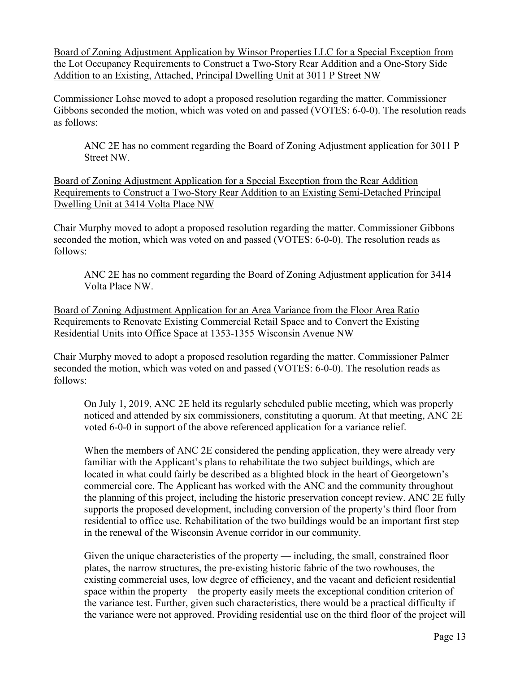Board of Zoning Adjustment Application by Winsor Properties LLC for a Special Exception from the Lot Occupancy Requirements to Construct a Two-Story Rear Addition and a One-Story Side Addition to an Existing, Attached, Principal Dwelling Unit at 3011 P Street NW

Commissioner Lohse moved to adopt a proposed resolution regarding the matter. Commissioner Gibbons seconded the motion, which was voted on and passed (VOTES: 6-0-0). The resolution reads as follows:

ANC 2E has no comment regarding the Board of Zoning Adjustment application for 3011 P Street NW.

Board of Zoning Adjustment Application for a Special Exception from the Rear Addition Requirements to Construct a Two-Story Rear Addition to an Existing Semi-Detached Principal Dwelling Unit at 3414 Volta Place NW

Chair Murphy moved to adopt a proposed resolution regarding the matter. Commissioner Gibbons seconded the motion, which was voted on and passed (VOTES: 6-0-0). The resolution reads as follows:

ANC 2E has no comment regarding the Board of Zoning Adjustment application for 3414 Volta Place NW.

Board of Zoning Adjustment Application for an Area Variance from the Floor Area Ratio Requirements to Renovate Existing Commercial Retail Space and to Convert the Existing Residential Units into Office Space at 1353-1355 Wisconsin Avenue NW

Chair Murphy moved to adopt a proposed resolution regarding the matter. Commissioner Palmer seconded the motion, which was voted on and passed (VOTES: 6-0-0). The resolution reads as follows:

On July 1, 2019, ANC 2E held its regularly scheduled public meeting, which was properly noticed and attended by six commissioners, constituting a quorum. At that meeting, ANC 2E voted 6-0-0 in support of the above referenced application for a variance relief.

When the members of ANC 2E considered the pending application, they were already very familiar with the Applicant's plans to rehabilitate the two subject buildings, which are located in what could fairly be described as a blighted block in the heart of Georgetown's commercial core. The Applicant has worked with the ANC and the community throughout the planning of this project, including the historic preservation concept review. ANC 2E fully supports the proposed development, including conversion of the property's third floor from residential to office use. Rehabilitation of the two buildings would be an important first step in the renewal of the Wisconsin Avenue corridor in our community.

Given the unique characteristics of the property — including, the small, constrained floor plates, the narrow structures, the pre-existing historic fabric of the two rowhouses, the existing commercial uses, low degree of efficiency, and the vacant and deficient residential space within the property – the property easily meets the exceptional condition criterion of the variance test. Further, given such characteristics, there would be a practical difficulty if the variance were not approved. Providing residential use on the third floor of the project will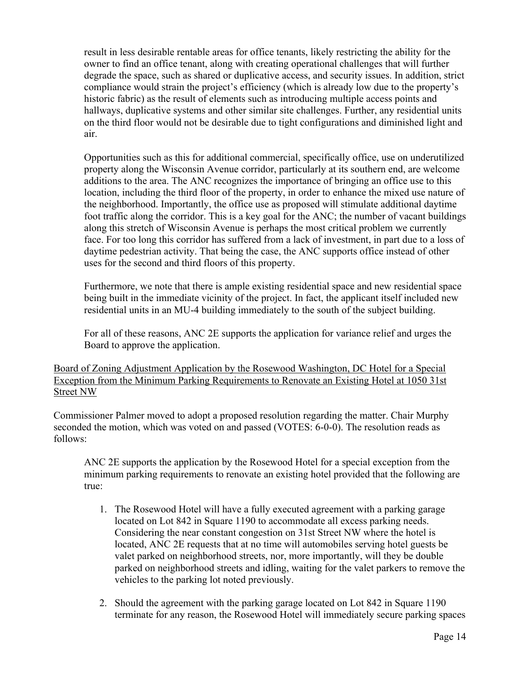result in less desirable rentable areas for office tenants, likely restricting the ability for the owner to find an office tenant, along with creating operational challenges that will further degrade the space, such as shared or duplicative access, and security issues. In addition, strict compliance would strain the project's efficiency (which is already low due to the property's historic fabric) as the result of elements such as introducing multiple access points and hallways, duplicative systems and other similar site challenges. Further, any residential units on the third floor would not be desirable due to tight configurations and diminished light and air.

Opportunities such as this for additional commercial, specifically office, use on underutilized property along the Wisconsin Avenue corridor, particularly at its southern end, are welcome additions to the area. The ANC recognizes the importance of bringing an office use to this location, including the third floor of the property, in order to enhance the mixed use nature of the neighborhood. Importantly, the office use as proposed will stimulate additional daytime foot traffic along the corridor. This is a key goal for the ANC; the number of vacant buildings along this stretch of Wisconsin Avenue is perhaps the most critical problem we currently face. For too long this corridor has suffered from a lack of investment, in part due to a loss of daytime pedestrian activity. That being the case, the ANC supports office instead of other uses for the second and third floors of this property.

Furthermore, we note that there is ample existing residential space and new residential space being built in the immediate vicinity of the project. In fact, the applicant itself included new residential units in an MU-4 building immediately to the south of the subject building.

For all of these reasons, ANC 2E supports the application for variance relief and urges the Board to approve the application.

Board of Zoning Adjustment Application by the Rosewood Washington, DC Hotel for a Special Exception from the Minimum Parking Requirements to Renovate an Existing Hotel at 1050 31st Street NW

Commissioner Palmer moved to adopt a proposed resolution regarding the matter. Chair Murphy seconded the motion, which was voted on and passed (VOTES: 6-0-0). The resolution reads as follows:

ANC 2E supports the application by the Rosewood Hotel for a special exception from the minimum parking requirements to renovate an existing hotel provided that the following are true:

- 1. The Rosewood Hotel will have a fully executed agreement with a parking garage located on Lot 842 in Square 1190 to accommodate all excess parking needs. Considering the near constant congestion on 31st Street NW where the hotel is located, ANC 2E requests that at no time will automobiles serving hotel guests be valet parked on neighborhood streets, nor, more importantly, will they be double parked on neighborhood streets and idling, waiting for the valet parkers to remove the vehicles to the parking lot noted previously.
- 2. Should the agreement with the parking garage located on Lot 842 in Square 1190 terminate for any reason, the Rosewood Hotel will immediately secure parking spaces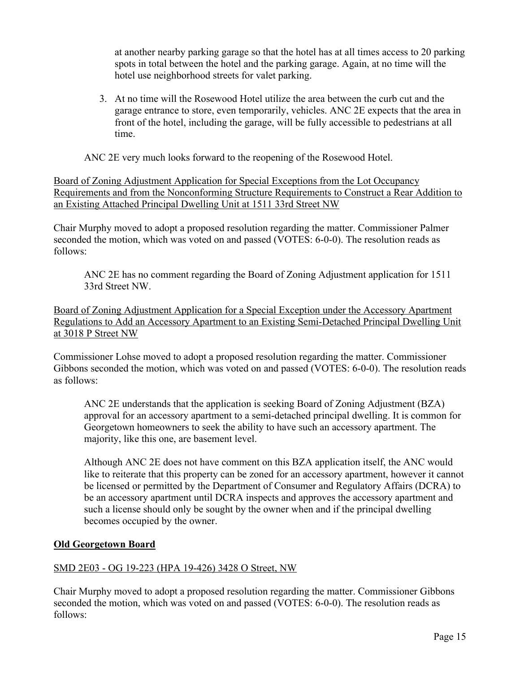at another nearby parking garage so that the hotel has at all times access to 20 parking spots in total between the hotel and the parking garage. Again, at no time will the hotel use neighborhood streets for valet parking.

3. At no time will the Rosewood Hotel utilize the area between the curb cut and the garage entrance to store, even temporarily, vehicles. ANC 2E expects that the area in front of the hotel, including the garage, will be fully accessible to pedestrians at all time.

ANC 2E very much looks forward to the reopening of the Rosewood Hotel.

Board of Zoning Adjustment Application for Special Exceptions from the Lot Occupancy Requirements and from the Nonconforming Structure Requirements to Construct a Rear Addition to an Existing Attached Principal Dwelling Unit at 1511 33rd Street NW

Chair Murphy moved to adopt a proposed resolution regarding the matter. Commissioner Palmer seconded the motion, which was voted on and passed (VOTES: 6-0-0). The resolution reads as follows:

ANC 2E has no comment regarding the Board of Zoning Adjustment application for 1511 33rd Street NW.

Board of Zoning Adjustment Application for a Special Exception under the Accessory Apartment Regulations to Add an Accessory Apartment to an Existing Semi-Detached Principal Dwelling Unit at 3018 P Street NW

Commissioner Lohse moved to adopt a proposed resolution regarding the matter. Commissioner Gibbons seconded the motion, which was voted on and passed (VOTES: 6-0-0). The resolution reads as follows:

ANC 2E understands that the application is seeking Board of Zoning Adjustment (BZA) approval for an accessory apartment to a semi-detached principal dwelling. It is common for Georgetown homeowners to seek the ability to have such an accessory apartment. The majority, like this one, are basement level.

Although ANC 2E does not have comment on this BZA application itself, the ANC would like to reiterate that this property can be zoned for an accessory apartment, however it cannot be licensed or permitted by the Department of Consumer and Regulatory Affairs (DCRA) to be an accessory apartment until DCRA inspects and approves the accessory apartment and such a license should only be sought by the owner when and if the principal dwelling becomes occupied by the owner.

# **Old Georgetown Board**

# SMD 2E03 - OG 19-223 (HPA 19-426) 3428 O Street, NW

Chair Murphy moved to adopt a proposed resolution regarding the matter. Commissioner Gibbons seconded the motion, which was voted on and passed (VOTES: 6-0-0). The resolution reads as follows: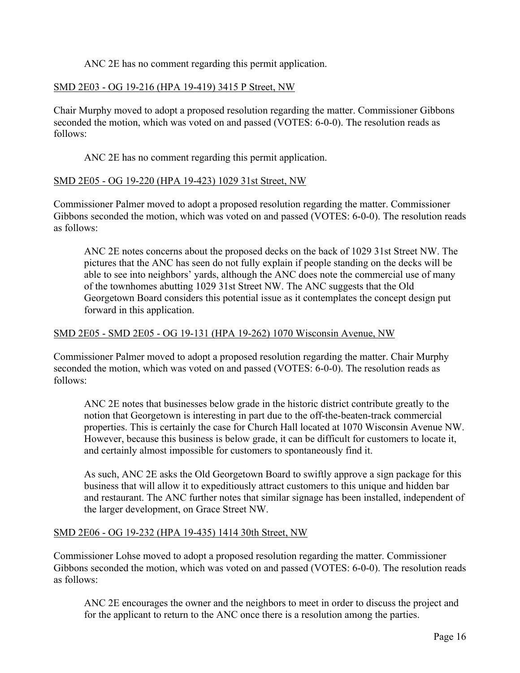ANC 2E has no comment regarding this permit application.

## SMD 2E03 - OG 19-216 (HPA 19-419) 3415 P Street, NW

Chair Murphy moved to adopt a proposed resolution regarding the matter. Commissioner Gibbons seconded the motion, which was voted on and passed (VOTES: 6-0-0). The resolution reads as follows:

ANC 2E has no comment regarding this permit application.

#### SMD 2E05 - OG 19-220 (HPA 19-423) 1029 31st Street, NW

Commissioner Palmer moved to adopt a proposed resolution regarding the matter. Commissioner Gibbons seconded the motion, which was voted on and passed (VOTES: 6-0-0). The resolution reads as follows:

ANC 2E notes concerns about the proposed decks on the back of 1029 31st Street NW. The pictures that the ANC has seen do not fully explain if people standing on the decks will be able to see into neighbors' yards, although the ANC does note the commercial use of many of the townhomes abutting 1029 31st Street NW. The ANC suggests that the Old Georgetown Board considers this potential issue as it contemplates the concept design put forward in this application.

#### SMD 2E05 - SMD 2E05 - OG 19-131 (HPA 19-262) 1070 Wisconsin Avenue, NW

Commissioner Palmer moved to adopt a proposed resolution regarding the matter. Chair Murphy seconded the motion, which was voted on and passed (VOTES: 6-0-0). The resolution reads as follows:

ANC 2E notes that businesses below grade in the historic district contribute greatly to the notion that Georgetown is interesting in part due to the off-the-beaten-track commercial properties. This is certainly the case for Church Hall located at 1070 Wisconsin Avenue NW. However, because this business is below grade, it can be difficult for customers to locate it, and certainly almost impossible for customers to spontaneously find it.

As such, ANC 2E asks the Old Georgetown Board to swiftly approve a sign package for this business that will allow it to expeditiously attract customers to this unique and hidden bar and restaurant. The ANC further notes that similar signage has been installed, independent of the larger development, on Grace Street NW.

#### SMD 2E06 - OG 19-232 (HPA 19-435) 1414 30th Street, NW

Commissioner Lohse moved to adopt a proposed resolution regarding the matter. Commissioner Gibbons seconded the motion, which was voted on and passed (VOTES: 6-0-0). The resolution reads as follows:

ANC 2E encourages the owner and the neighbors to meet in order to discuss the project and for the applicant to return to the ANC once there is a resolution among the parties.